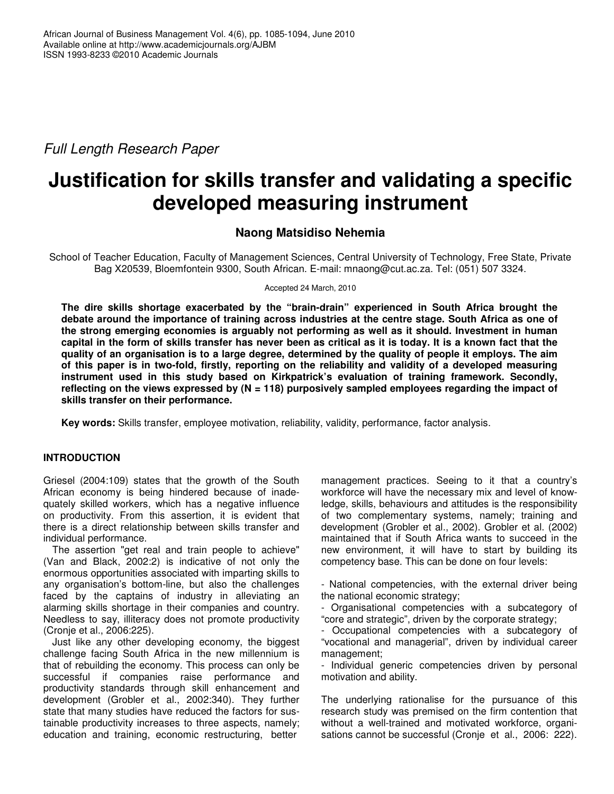*Full Length Research Paper*

# **Justification for skills transfer and validating a specific developed measuring instrument**

# **Naong Matsidiso Nehemia**

School of Teacher Education, Faculty of Management Sciences, Central University of Technology, Free State, Private Bag X20539, Bloemfontein 9300, South African. E-mail: mnaong@cut.ac.za. Tel: (051) 507 3324.

Accepted 24 March, 2010

**The dire skills shortage exacerbated by the "brain-drain" experienced in South Africa brought the debate around the importance of training across industries at the centre stage. South Africa as one of the strong emerging economies is arguably not performing as well as it should. Investment in human** capital in the form of skills transfer has never been as critical as it is today. It is a known fact that the quality of an organisation is to a large degree, determined by the quality of people it employs. The aim **of this paper is in two-fold, firstly, reporting on the reliability and validity of a developed measuring instrument used in this study based on Kirkpatrick's evaluation of training framework. Secondly, reflecting on the views expressed by (N = 118) purposively sampled employees regarding the impact of skills transfer on their performance.**

**Key words:** Skills transfer, employee motivation, reliability, validity, performance, factor analysis.

# **INTRODUCTION**

Griesel (2004:109) states that the growth of the South African economy is being hindered because of inadequately skilled workers, which has a negative influence on productivity. From this assertion, it is evident that there is a direct relationship between skills transfer and individual performance.

The assertion "get real and train people to achieve" (Van and Black, 2002:2) is indicative of not only the enormous opportunities associated with imparting skills to any organisation's bottom-line, but also the challenges faced by the captains of industry in alleviating an alarming skills shortage in their companies and country. Needless to say, illiteracy does not promote productivity (Cronje et al., 2006:225).

Just like any other developing economy, the biggest challenge facing South Africa in the new millennium is that of rebuilding the economy. This process can only be successful if companies raise performance and productivity standards through skill enhancement and development (Grobler et al., 2002:340). They further state that many studies have reduced the factors for sustainable productivity increases to three aspects, namely; education and training, economic restructuring, better

management practices. Seeing to it that a country's workforce will have the necessary mix and level of knowledge, skills, behaviours and attitudes is the responsibility of two complementary systems, namely; training and development (Grobler et al., 2002). Grobler et al. (2002) maintained that if South Africa wants to succeed in the new environment, it will have to start by building its competency base. This can be done on four levels:

- National competencies, with the external driver being the national economic strategy;

- Organisational competencies with a subcategory of "core and strategic", driven by the corporate strategy;

- Occupational competencies with a subcategory of "vocational and managerial", driven by individual career management;

- Individual generic competencies driven by personal motivation and ability.

The underlying rationalise for the pursuance of this research study was premised on the firm contention that without a well-trained and motivated workforce, organisations cannot be successful (Cronje et al., 2006: 222).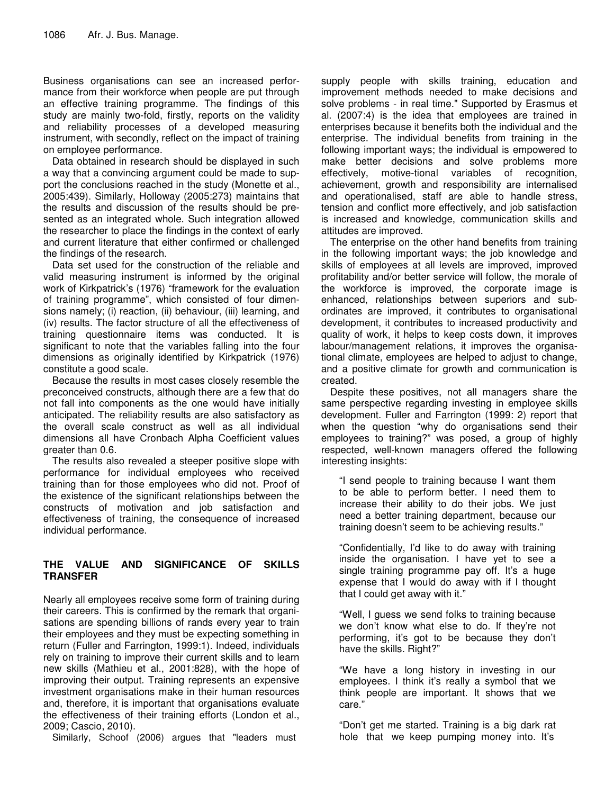Business organisations can see an increased performance from their workforce when people are put through an effective training programme. The findings of this study are mainly two-fold, firstly, reports on the validity and reliability processes of a developed measuring instrument, with secondly, reflect on the impact of training on employee performance.

Data obtained in research should be displayed in such a way that a convincing argument could be made to support the conclusions reached in the study (Monette et al., 2005:439). Similarly, Holloway (2005:273) maintains that the results and discussion of the results should be presented as an integrated whole. Such integration allowed the researcher to place the findings in the context of early and current literature that either confirmed or challenged the findings of the research.

Data set used for the construction of the reliable and valid measuring instrument is informed by the original work of Kirkpatrick's (1976) "framework for the evaluation of training programme", which consisted of four dimensions namely; (i) reaction, (ii) behaviour, (iii) learning, and (iv) results. The factor structure of all the effectiveness of training questionnaire items was conducted. It is significant to note that the variables falling into the four dimensions as originally identified by Kirkpatrick (1976) constitute a good scale.

Because the results in most cases closely resemble the preconceived constructs, although there are a few that do not fall into components as the one would have initially anticipated. The reliability results are also satisfactory as the overall scale construct as well as all individual dimensions all have Cronbach Alpha Coefficient values greater than 0.6.

The results also revealed a steeper positive slope with performance for individual employees who received training than for those employees who did not. Proof of the existence of the significant relationships between the constructs of motivation and job satisfaction and effectiveness of training, the consequence of increased individual performance.

# **THE VALUE AND SIGNIFICANCE OF SKILLS TRANSFER**

Nearly all employees receive some form of training during their careers. This is confirmed by the remark that organisations are spending billions of rands every year to train their employees and they must be expecting something in return (Fuller and Farrington, 1999:1). Indeed, individuals rely on training to improve their current skills and to learn new skills (Mathieu et al., 2001:828), with the hope of improving their output. Training represents an expensive investment organisations make in their human resources and, therefore, it is important that organisations evaluate the effectiveness of their training efforts (London et al., 2009; Cascio, 2010).

Similarly, Schoof (2006) argues that "leaders must

supply people with skills training, education and improvement methods needed to make decisions and solve problems - in real time." Supported by Erasmus et al. (2007:4) is the idea that employees are trained in enterprises because it benefits both the individual and the enterprise. The individual benefits from training in the following important ways; the individual is empowered to make better decisions and solve problems more effectively, motive-tional variables of recognition, achievement, growth and responsibility are internalised and operationalised, staff are able to handle stress, tension and conflict more effectively, and job satisfaction is increased and knowledge, communication skills and attitudes are improved.

The enterprise on the other hand benefits from training in the following important ways; the job knowledge and skills of employees at all levels are improved, improved profitability and/or better service will follow, the morale of the workforce is improved, the corporate image is enhanced, relationships between superiors and subordinates are improved, it contributes to organisational development, it contributes to increased productivity and quality of work, it helps to keep costs down, it improves labour/management relations, it improves the organisational climate, employees are helped to adjust to change, and a positive climate for growth and communication is created.

Despite these positives, not all managers share the same perspective regarding investing in employee skills development. Fuller and Farrington (1999: 2) report that when the question "why do organisations send their employees to training?" was posed, a group of highly respected, well-known managers offered the following interesting insights:

"I send people to training because I want them to be able to perform better. I need them to increase their ability to do their jobs. We just need a better training department, because our training doesn't seem to be achieving results."

"Confidentially, I'd like to do away with training inside the organisation. I have yet to see a single training programme pay off. It's a huge expense that I would do away with if I thought that I could get away with it."

"Well, I guess we send folks to training because we don't know what else to do. If they're not performing, it's got to be because they don't have the skills. Right?"

"We have a long history in investing in our employees. I think it's really a symbol that we think people are important. It shows that we care."

"Don't get me started. Training is a big dark rat hole that we keep pumping money into. It's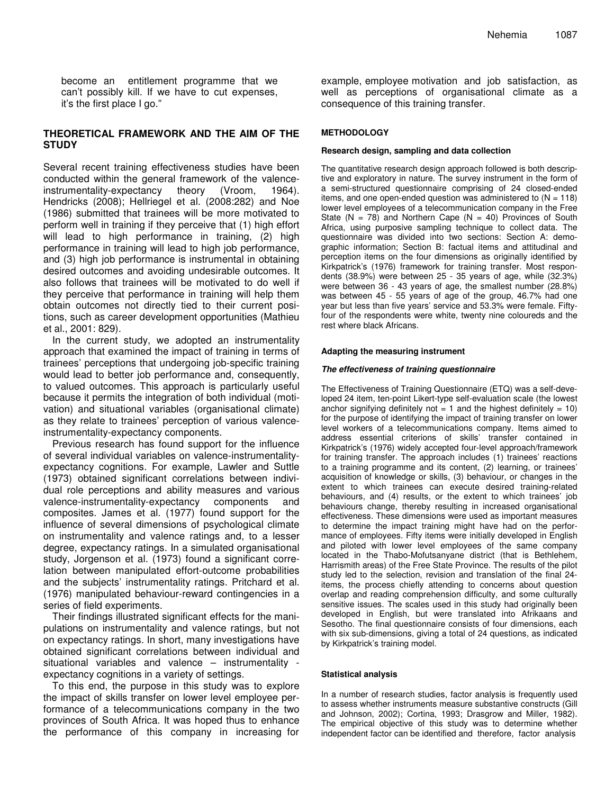become an entitlement programme that we can't possibly kill. If we have to cut expenses, it's the first place I go."

# **THEORETICAL FRAMEWORK AND THE AIM OF THE STUDY**

Several recent training effectiveness studies have been conducted within the general framework of the valenceinstrumentality-expectancy theory (Vroom, 1964). Hendricks (2008); Hellriegel et al. (2008:282) and Noe (1986) submitted that trainees will be more motivated to perform well in training if they perceive that (1) high effort will lead to high performance in training, (2) high performance in training will lead to high job performance, and (3) high job performance is instrumental in obtaining desired outcomes and avoiding undesirable outcomes. It also follows that trainees will be motivated to do well if they perceive that performance in training will help them obtain outcomes not directly tied to their current positions, such as career development opportunities (Mathieu et al., 2001: 829).

In the current study, we adopted an instrumentality approach that examined the impact of training in terms of trainees' perceptions that undergoing job-specific training would lead to better job performance and, consequently, to valued outcomes. This approach is particularly useful because it permits the integration of both individual (motivation) and situational variables (organisational climate) as they relate to trainees' perception of various valenceinstrumentality-expectancy components.

Previous research has found support for the influence of several individual variables on valence-instrumentalityexpectancy cognitions. For example, Lawler and Suttle (1973) obtained significant correlations between individual role perceptions and ability measures and various valence-instrumentality-expectancy components and composites. James et al. (1977) found support for the influence of several dimensions of psychological climate on instrumentality and valence ratings and, to a lesser degree, expectancy ratings. In a simulated organisational study, Jorgenson et al. (1973) found a significant correlation between manipulated effort-outcome probabilities and the subjects' instrumentality ratings. Pritchard et al. (1976) manipulated behaviour-reward contingencies in a series of field experiments.

Their findings illustrated significant effects for the manipulations on instrumentality and valence ratings, but not on expectancy ratings. In short, many investigations have obtained significant correlations between individual and situational variables and valence – instrumentality expectancy cognitions in a variety of settings.

To this end, the purpose in this study was to explore the impact of skills transfer on lower level employee performance of a telecommunications company in the two provinces of South Africa. It was hoped thus to enhance the performance of this company in increasing for

example, employee motivation and job satisfaction, as well as perceptions of organisational climate as a consequence of this training transfer.

# **METHODOLOGY**

#### **Research design, sampling and data collection**

The quantitative research design approach followed is both descriptive and exploratory in nature. The survey instrument in the form of a semi-structured questionnaire comprising of 24 closed-ended items, and one open-ended question was administered to  $(N = 118)$ lower level employees of a telecommunication company in the Free State ( $N = 78$ ) and Northern Cape ( $N = 40$ ) Provinces of South Africa, using purposive sampling technique to collect data. The questionnaire was divided into two sections: Section A: demographic information; Section B: factual items and attitudinal and perception items on the four dimensions as originally identified by Kirkpatrick's (1976) framework for training transfer. Most respondents (38.9%) were between 25 - 35 years of age, while (32.3%) were between 36 - 43 years of age, the smallest number (28.8%) was between 45 - 55 years of age of the group, 46.7% had one year but less than five years' service and 53.3% were female. Fiftyfour of the respondents were white, twenty nine coloureds and the rest where black Africans.

#### **Adapting the measuring instrument**

#### *The effectiveness of training questionnaire*

The Effectiveness of Training Questionnaire (ETQ) was a self-developed 24 item, ten-point Likert-type self-evaluation scale (the lowest anchor signifying definitely not  $= 1$  and the highest definitely  $= 10$ ) for the purpose of identifying the impact of training transfer on lower level workers of a telecommunications company. Items aimed to address essential criterions of skills' transfer contained in Kirkpatrick's (1976) widely accepted four-level approach/framework for training transfer. The approach includes (1) trainees' reactions to a training programme and its content, (2) learning, or trainees' acquisition of knowledge or skills, (3) behaviour, or changes in the extent to which trainees can execute desired training-related behaviours, and (4) results, or the extent to which trainees' job behaviours change, thereby resulting in increased organisational effectiveness. These dimensions were used as important measures to determine the impact training might have had on the performance of employees. Fifty items were initially developed in English and piloted with lower level employees of the same company located in the Thabo-Mofutsanyane district (that is Bethlehem, Harrismith areas) of the Free State Province. The results of the pilot study led to the selection, revision and translation of the final 24 items, the process chiefly attending to concerns about question overlap and reading comprehension difficulty, and some culturally sensitive issues. The scales used in this study had originally been developed in English, but were translated into Afrikaans and Sesotho. The final questionnaire consists of four dimensions, each with six sub-dimensions, giving a total of 24 questions, as indicated by Kirkpatrick's training model.

#### **Statistical analysis**

In a number of research studies, factor analysis is frequently used to assess whether instruments measure substantive constructs (Gill and Johnson, 2002); Cortina, 1993; Drasgrow and Miller, 1982). The empirical objective of this study was to determine whether independent factor can be identified and therefore, factor analysis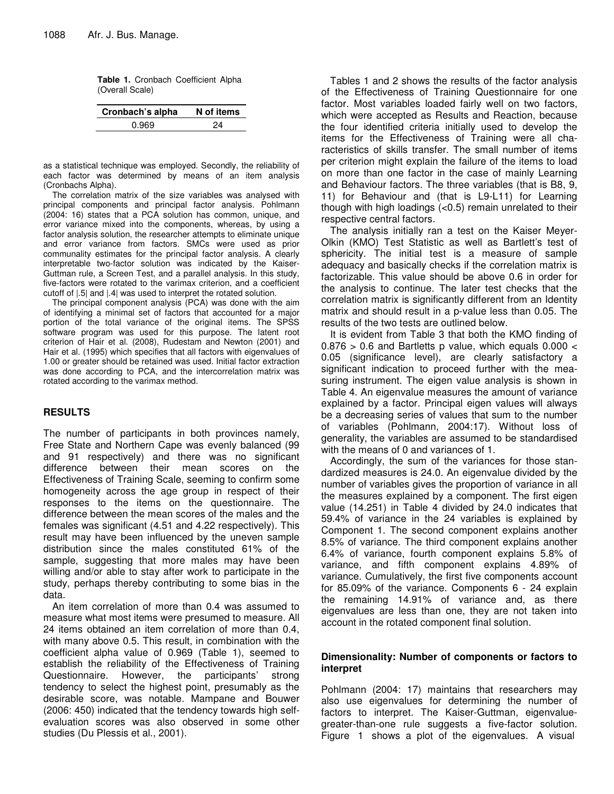**Table 1.** Cronbach Coefficient Alpha (Overall Scale)

| Cronbach's alpha | N of items |
|------------------|------------|
| 0.969            | 24         |

as a statistical technique was employed. Secondly, the reliability of each factor was determined by means of an item analysis (Cronbachs Alpha).

The correlation matrix of the size variables was analysed with principal components and principal factor analysis. Pohlmann (2004: 16) states that a PCA solution has common, unique, and error variance mixed into the components, whereas, by using a factor analysis solution, the researcher attempts to eliminate unique and error variance from factors. SMCs were used as prior communality estimates for the principal factor analysis. A clearly interpretable two-factor solution was indicated by the Kaiser-Guttman rule, a Screen Test, and a parallel analysis. In this study, five-factors were rotated to the varimax criterion, and a coefficient cutoff of |.5| and |.4| was used to interpret the rotated solution.

The principal component analysis (PCA) was done with the aim of identifying a minimal set of factors that accounted for a major portion of the total variance of the original items. The SPSS software program was used for this purpose. The latent root criterion of Hair et al. (2008), Rudestam and Newton (2001) and Hair et al. (1995) which specifies that all factors with eigenvalues of 1.00 or greater should be retained was used. Initial factor extraction was done according to PCA, and the intercorrelation matrix was rotated according to the varimax method.

# **RESULTS**

The number of participants in both provinces namely, Free State and Northern Cape was evenly balanced (99 and 91 respectively) and there was no significant difference between their mean scores on the Effectiveness of Training Scale, seeming to confirm some homogeneity across the age group in respect of their responses to the items on the questionnaire. The difference between the mean scores of the males and the females was significant (4.51 and 4.22 respectively). This result may have been influenced by the uneven sample distribution since the males constituted 61% of the sample, suggesting that more males may have been willing and/or able to stay after work to participate in the study, perhaps thereby contributing to some bias in the data.

An item correlation of more than 0.4 was assumed to measure what most items were presumed to measure. All 24 items obtained an item correlation of more than 0.4, with many above 0.5. This result, in combination with the coefficient alpha value of 0.969 (Table 1), seemed to establish the reliability of the Effectiveness of Training Questionnaire. However, the participants' strong tendency to select the highest point, presumably as the desirable score, was notable. Mampane and Bouwer (2006: 450) indicated that the tendency towards high selfevaluation scores was also observed in some other studies (Du Plessis et al., 2001).

Tables 1 and 2 shows the results of the factor analysis of the Effectiveness of Training Questionnaire for one factor. Most variables loaded fairly well on two factors, which were accepted as Results and Reaction, because the four identified criteria initially used to develop the items for the Effectiveness of Training were all characteristics of skills transfer. The small number of items per criterion might explain the failure of the items to load on more than one factor in the case of mainly Learning and Behaviour factors. The three variables (that is B8, 9, 11) for Behaviour and (that is L9-L11) for Learning though with high loadings (<0.5) remain unrelated to their respective central factors.

The analysis initially ran a test on the Kaiser Meyer-Olkin (KMO) Test Statistic as well as Bartlett's test of sphericity. The initial test is a measure of sample adequacy and basically checks if the correlation matrix is factorizable. This value should be above 0.6 in order for the analysis to continue. The later test checks that the correlation matrix is significantly different from an Identity matrix and should result in a p-value less than 0.05. The results of the two tests are outlined below.

It is evident from Table 3 that both the KMO finding of  $0.876 > 0.6$  and Bartletts p value, which equals  $0.000 <$ 0.05 (significance level), are clearly satisfactory a significant indication to proceed further with the measuring instrument. The eigen value analysis is shown in Table 4. An eigenvalue measures the amount of variance explained by a factor. Principal eigen values will always be a decreasing series of values that sum to the number of variables (Pohlmann, 2004:17). Without loss of generality, the variables are assumed to be standardised with the means of 0 and variances of 1.

Accordingly, the sum of the variances for those standardized measures is 24.0. An eigenvalue divided by the number of variables gives the proportion of variance in all the measures explained by a component. The first eigen value (14.251) in Table 4 divided by 24.0 indicates that 59.4% of variance in the 24 variables is explained by Component 1. The second component explains another 8.5% of variance. The third component explains another 6.4% of variance, fourth component explains 5.8% of variance, and fifth component explains 4.89% of variance. Cumulatively, the first five components account for 85.09% of the variance. Components 6 - 24 explain the remaining 14.91% of variance and, as there eigenvalues are less than one, they are not taken into account in the rotated component final solution.

## **Dimensionality: Number of components or factors to interpret**

Pohlmann (2004: 17) maintains that researchers may also use eigenvalues for determining the number of factors to interpret. The Kaiser-Guttman, eigenvaluegreater-than-one rule suggests a five-factor solution. Figure 1 shows a plot of the eigenvalues. A visual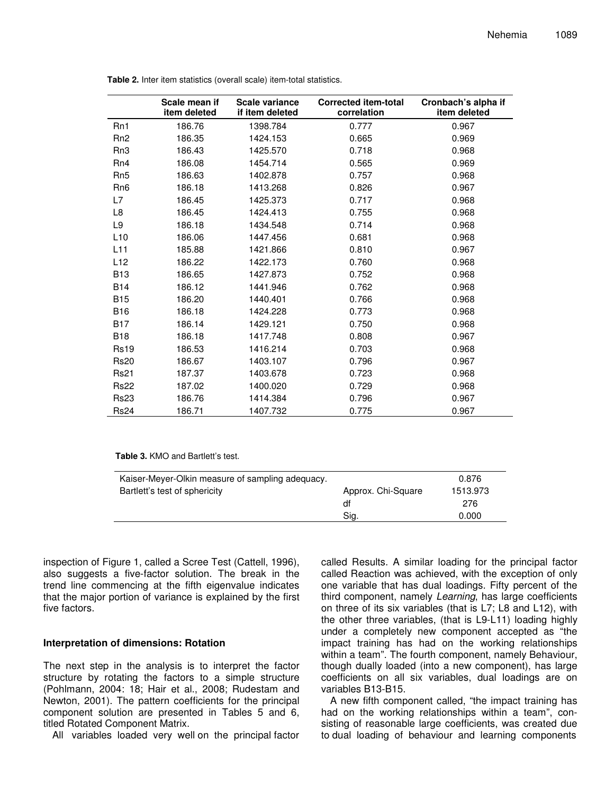|                 | Scale mean if<br>item deleted | Scale variance<br>if item deleted | <b>Corrected item-total</b><br>correlation | Cronbach's alpha if<br>item deleted |
|-----------------|-------------------------------|-----------------------------------|--------------------------------------------|-------------------------------------|
| Rn1             | 186.76                        | 1398.784                          | 0.777                                      | 0.967                               |
| Rn <sub>2</sub> | 186.35                        | 1424.153                          | 0.665                                      | 0.969                               |
| Rn3             | 186.43                        | 1425.570                          | 0.718                                      | 0.968                               |
| Rn4             | 186.08                        | 1454.714                          | 0.565                                      | 0.969                               |
| Rn <sub>5</sub> | 186.63                        | 1402.878                          | 0.757                                      | 0.968                               |
| Rn <sub>6</sub> | 186.18                        | 1413.268                          | 0.826                                      | 0.967                               |
| L7              | 186.45                        | 1425.373                          | 0.717                                      | 0.968                               |
| L8              | 186.45                        | 1424.413                          | 0.755                                      | 0.968                               |
| L <sub>9</sub>  | 186.18                        | 1434.548                          | 0.714                                      | 0.968                               |
| L10             | 186.06                        | 1447.456                          | 0.681                                      | 0.968                               |
| L11             | 185.88                        | 1421.866                          | 0.810                                      | 0.967                               |
| L12             | 186.22                        | 1422.173                          | 0.760                                      | 0.968                               |
| <b>B13</b>      | 186.65                        | 1427.873                          | 0.752                                      | 0.968                               |
| <b>B14</b>      | 186.12                        | 1441.946                          | 0.762                                      | 0.968                               |
| <b>B15</b>      | 186.20                        | 1440.401                          | 0.766                                      | 0.968                               |
| <b>B16</b>      | 186.18                        | 1424.228                          | 0.773                                      | 0.968                               |
| <b>B17</b>      | 186.14                        | 1429.121                          | 0.750                                      | 0.968                               |
| <b>B18</b>      | 186.18                        | 1417.748                          | 0.808                                      | 0.967                               |
| <b>Rs19</b>     | 186.53                        | 1416.214                          | 0.703                                      | 0.968                               |
| <b>Rs20</b>     | 186.67                        | 1403.107                          | 0.796                                      | 0.967                               |
| <b>Rs21</b>     | 187.37                        | 1403.678                          | 0.723                                      | 0.968                               |
| <b>Rs22</b>     | 187.02                        | 1400.020                          | 0.729                                      | 0.968                               |
| <b>Rs23</b>     | 186.76                        | 1414.384                          | 0.796                                      | 0.967                               |
| <b>Rs24</b>     | 186.71                        | 1407.732                          | 0.775                                      | 0.967                               |

**Table 2.** Inter item statistics (overall scale) item-total statistics.

| <b>Table 3.</b> KMO and Bartlett's test. |
|------------------------------------------|
|                                          |

| Kaiser-Meyer-Olkin measure of sampling adequacy. |                    | 0.876    |
|--------------------------------------------------|--------------------|----------|
| Bartlett's test of sphericity                    | Approx. Chi-Square | 1513.973 |
|                                                  | df                 | 276      |
|                                                  | Sia.               | 0.000    |

inspection of Figure 1, called a Scree Test (Cattell, 1996), also suggests a five-factor solution. The break in the trend line commencing at the fifth eigenvalue indicates that the major portion of variance is explained by the first five factors.

### **Interpretation of dimensions: Rotation**

The next step in the analysis is to interpret the factor structure by rotating the factors to a simple structure (Pohlmann, 2004: 18; Hair et al., 2008; Rudestam and Newton, 2001). The pattern coefficients for the principal component solution are presented in Tables 5 and 6, titled Rotated Component Matrix.

All variables loaded very well on the principal factor

called Results. A similar loading for the principal factor called Reaction was achieved, with the exception of only one variable that has dual loadings. Fifty percent of the third component, namely *Learning*, has large coefficients on three of its six variables (that is L7; L8 and L12), with the other three variables, (that is L9-L11) loading highly under a completely new component accepted as "the impact training has had on the working relationships within a team". The fourth component, namely Behaviour, though dually loaded (into a new component), has large coefficients on all six variables, dual loadings are on variables B13-B15.

A new fifth component called, "the impact training has had on the working relationships within a team", consisting of reasonable large coefficients, was created due to dual loading of behaviour and learning components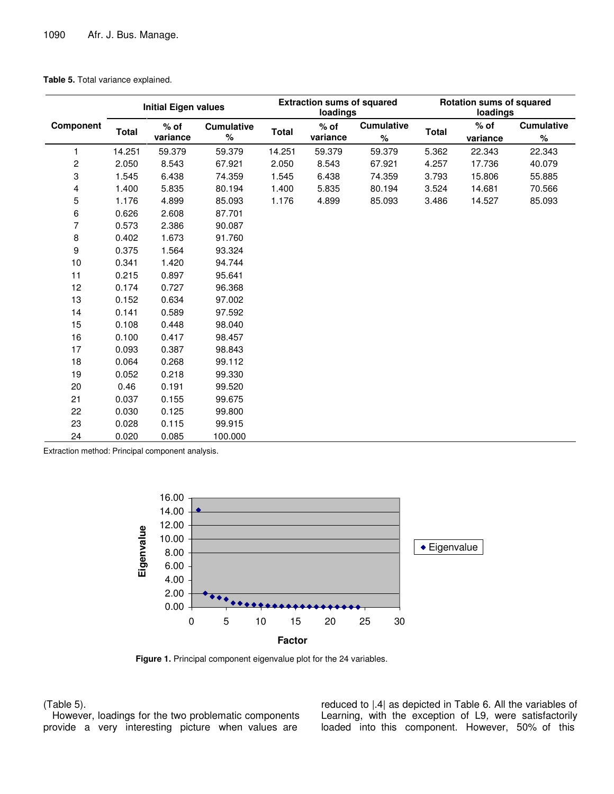#### **Table 5.** Total variance explained.

|           | <b>Initial Eigen values</b> |                    |                        | <b>Extraction sums of squared</b><br>loadings |                    |                           | <b>Rotation sums of squared</b><br>loadings |          |                           |
|-----------|-----------------------------|--------------------|------------------------|-----------------------------------------------|--------------------|---------------------------|---------------------------------------------|----------|---------------------------|
| Component | <b>Total</b>                | $%$ of<br>variance | <b>Cumulative</b><br>% | <b>Total</b>                                  | $%$ of<br>variance | <b>Cumulative</b><br>$\%$ | Total                                       | $%$ of   | <b>Cumulative</b><br>$\%$ |
|           |                             |                    |                        |                                               |                    |                           |                                             | variance |                           |
| 1         | 14.251                      | 59.379             | 59.379                 | 14.251                                        | 59.379             | 59.379                    | 5.362                                       | 22.343   | 22.343                    |
| 2         | 2.050                       | 8.543              | 67.921                 | 2.050                                         | 8.543              | 67.921                    | 4.257                                       | 17.736   | 40.079                    |
| 3         | 1.545                       | 6.438              | 74.359                 | 1.545                                         | 6.438              | 74.359                    | 3.793                                       | 15.806   | 55.885                    |
| 4         | 1.400                       | 5.835              | 80.194                 | 1.400                                         | 5.835              | 80.194                    | 3.524                                       | 14.681   | 70.566                    |
| 5         | 1.176                       | 4.899              | 85.093                 | 1.176                                         | 4.899              | 85.093                    | 3.486                                       | 14.527   | 85.093                    |
| 6         | 0.626                       | 2.608              | 87.701                 |                                               |                    |                           |                                             |          |                           |
| 7         | 0.573                       | 2.386              | 90.087                 |                                               |                    |                           |                                             |          |                           |
| 8         | 0.402                       | 1.673              | 91.760                 |                                               |                    |                           |                                             |          |                           |
| 9         | 0.375                       | 1.564              | 93.324                 |                                               |                    |                           |                                             |          |                           |
| 10        | 0.341                       | 1.420              | 94.744                 |                                               |                    |                           |                                             |          |                           |
| 11        | 0.215                       | 0.897              | 95.641                 |                                               |                    |                           |                                             |          |                           |
| 12        | 0.174                       | 0.727              | 96.368                 |                                               |                    |                           |                                             |          |                           |
| 13        | 0.152                       | 0.634              | 97.002                 |                                               |                    |                           |                                             |          |                           |
| 14        | 0.141                       | 0.589              | 97.592                 |                                               |                    |                           |                                             |          |                           |
| 15        | 0.108                       | 0.448              | 98.040                 |                                               |                    |                           |                                             |          |                           |
| 16        | 0.100                       | 0.417              | 98.457                 |                                               |                    |                           |                                             |          |                           |
| 17        | 0.093                       | 0.387              | 98.843                 |                                               |                    |                           |                                             |          |                           |
| 18        | 0.064                       | 0.268              | 99.112                 |                                               |                    |                           |                                             |          |                           |
| 19        | 0.052                       | 0.218              | 99.330                 |                                               |                    |                           |                                             |          |                           |
| 20        | 0.46                        | 0.191              | 99.520                 |                                               |                    |                           |                                             |          |                           |
| 21        | 0.037                       | 0.155              | 99.675                 |                                               |                    |                           |                                             |          |                           |
| 22        | 0.030                       | 0.125              | 99.800                 |                                               |                    |                           |                                             |          |                           |
| 23        | 0.028                       | 0.115              | 99.915                 |                                               |                    |                           |                                             |          |                           |
| 24        | 0.020                       | 0.085              | 100.000                |                                               |                    |                           |                                             |          |                           |

Extraction method: Principal component analysis.



**Figure 1.** Principal component eigenvalue plot for the 24 variables.

(Table 5).

However, loadings for the two problematic components provide a very interesting picture when values are

reduced to |.4| as depicted in Table 6. All the variables of Learning, with the exception of L9*,* were satisfactorily loaded into this component. However, 50% of this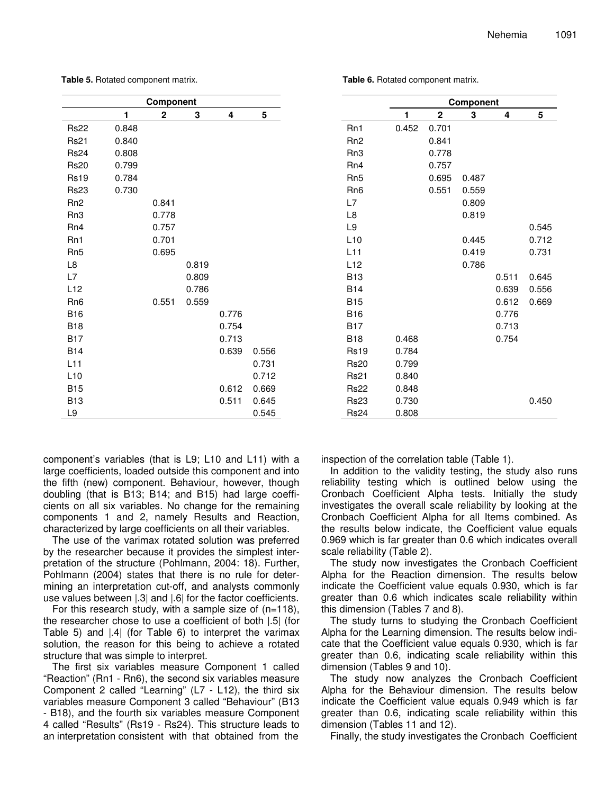|                 |       | Component   |       |       |                         |                 |       |         | Component |                         |            |
|-----------------|-------|-------------|-------|-------|-------------------------|-----------------|-------|---------|-----------|-------------------------|------------|
|                 | 1     | $\mathbf 2$ | 3     | 4     | $\overline{\mathbf{5}}$ |                 | 1     | $\bf 2$ | 3         | $\overline{\mathbf{4}}$ | $\sqrt{5}$ |
| <b>Rs22</b>     | 0.848 |             |       |       |                         | Rn1             | 0.452 | 0.701   |           |                         |            |
| <b>Rs21</b>     | 0.840 |             |       |       |                         | Rn <sub>2</sub> |       | 0.841   |           |                         |            |
| <b>Rs24</b>     | 0.808 |             |       |       |                         | Rn <sub>3</sub> |       | 0.778   |           |                         |            |
| <b>Rs20</b>     | 0.799 |             |       |       |                         | Rn4             |       | 0.757   |           |                         |            |
| <b>Rs19</b>     | 0.784 |             |       |       |                         | Rn <sub>5</sub> |       | 0.695   | 0.487     |                         |            |
| <b>Rs23</b>     | 0.730 |             |       |       |                         | Rn <sub>6</sub> |       | 0.551   | 0.559     |                         |            |
| Rn <sub>2</sub> |       | 0.841       |       |       |                         | L7              |       |         | 0.809     |                         |            |
| Rn3             |       | 0.778       |       |       |                         | L8              |       |         | 0.819     |                         |            |
| Rn4             |       | 0.757       |       |       |                         | L <sub>9</sub>  |       |         |           |                         | 0.545      |
| Rn1             |       | 0.701       |       |       |                         | L10             |       |         | 0.445     |                         | 0.712      |
| Rn <sub>5</sub> |       | 0.695       |       |       |                         | L11             |       |         | 0.419     |                         | 0.731      |
| L8              |       |             | 0.819 |       |                         | L12             |       |         | 0.786     |                         |            |
| L7              |       |             | 0.809 |       |                         | <b>B13</b>      |       |         |           | 0.511                   | 0.645      |
| L12             |       |             | 0.786 |       |                         | <b>B14</b>      |       |         |           | 0.639                   | 0.556      |
| Rn <sub>6</sub> |       | 0.551       | 0.559 |       |                         | <b>B15</b>      |       |         |           | 0.612                   | 0.669      |
| <b>B16</b>      |       |             |       | 0.776 |                         | <b>B16</b>      |       |         |           | 0.776                   |            |
| <b>B18</b>      |       |             |       | 0.754 |                         | <b>B17</b>      |       |         |           | 0.713                   |            |
| <b>B17</b>      |       |             |       | 0.713 |                         | <b>B18</b>      | 0.468 |         |           | 0.754                   |            |
| <b>B14</b>      |       |             |       | 0.639 | 0.556                   | <b>Rs19</b>     | 0.784 |         |           |                         |            |
| L11             |       |             |       |       | 0.731                   | <b>Rs20</b>     | 0.799 |         |           |                         |            |
| L10             |       |             |       |       | 0.712                   | <b>Rs21</b>     | 0.840 |         |           |                         |            |
| <b>B15</b>      |       |             |       | 0.612 | 0.669                   | <b>Rs22</b>     | 0.848 |         |           |                         |            |
| <b>B13</b>      |       |             |       | 0.511 | 0.645                   | <b>Rs23</b>     | 0.730 |         |           |                         | 0.450      |
| L9              |       |             |       |       | 0.545                   | <b>Rs24</b>     | 0.808 |         |           |                         |            |

**Table 5.** Rotated component matrix.

component's variables (that is L9; L10 and L11) with a large coefficients, loaded outside this component and into the fifth (new) component. Behaviour, however, though doubling (that is B13; B14; and B15) had large coefficients on all six variables. No change for the remaining components 1 and 2, namely Results and Reaction, characterized by large coefficients on all their variables.

The use of the varimax rotated solution was preferred by the researcher because it provides the simplest interpretation of the structure (Pohlmann, 2004: 18). Further, Pohlmann (2004) states that there is no rule for determining an interpretation cut-off, and analysts commonly use values between |.3| and |.6| for the factor coefficients.

For this research study, with a sample size of  $(n=118)$ , the researcher chose to use a coefficient of both |.5| (for Table 5) and |.4| (for Table 6) to interpret the varimax solution, the reason for this being to achieve a rotated structure that was simple to interpret.

The first six variables measure Component 1 called "Reaction" (Rn1 - Rn6), the second six variables measure Component 2 called "Learning" (L7 - L12), the third six variables measure Component 3 called "Behaviour" (B13 - B18), and the fourth six variables measure Component 4 called "Results" (Rs19 - Rs24). This structure leads to an interpretation consistent with that obtained from the

inspection of the correlation table (Table 1).

**Table 6.** Rotated component matrix.

In addition to the validity testing, the study also runs reliability testing which is outlined below using the Cronbach Coefficient Alpha tests. Initially the study investigates the overall scale reliability by looking at the Cronbach Coefficient Alpha for all Items combined. As the results below indicate, the Coefficient value equals 0.969 which is far greater than 0.6 which indicates overall scale reliability (Table 2).

The study now investigates the Cronbach Coefficient Alpha for the Reaction dimension. The results below indicate the Coefficient value equals 0.930, which is far greater than 0.6 which indicates scale reliability within this dimension (Tables 7 and 8).

The study turns to studying the Cronbach Coefficient Alpha for the Learning dimension. The results below indicate that the Coefficient value equals 0.930, which is far greater than 0.6, indicating scale reliability within this dimension (Tables 9 and 10).

The study now analyzes the Cronbach Coefficient Alpha for the Behaviour dimension. The results below indicate the Coefficient value equals 0.949 which is far greater than 0.6, indicating scale reliability within this dimension (Tables 11 and 12).

Finally, the study investigates the Cronbach Coefficient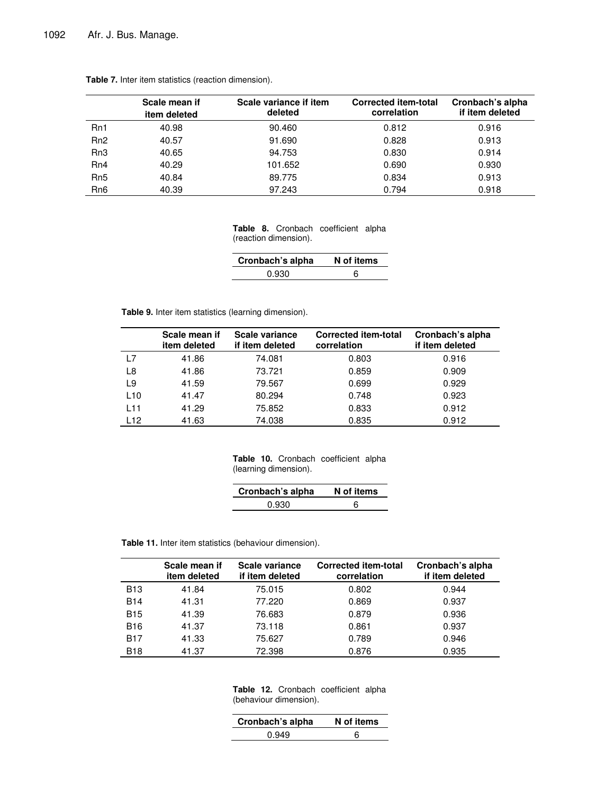|                  | Scale mean if<br>item deleted | Scale variance if item<br>deleted | <b>Corrected item-total</b><br>correlation | Cronbach's alpha<br>if item deleted |
|------------------|-------------------------------|-----------------------------------|--------------------------------------------|-------------------------------------|
| Rn1              | 40.98                         | 90.460                            | 0.812                                      | 0.916                               |
| R <sub>n</sub> 2 | 40.57                         | 91.690                            | 0.828                                      | 0.913                               |
| Rn <sub>3</sub>  | 40.65                         | 94.753                            | 0.830                                      | 0.914                               |
| Rn4              | 40.29                         | 101.652                           | 0.690                                      | 0.930                               |
| Rn <sub>5</sub>  | 40.84                         | 89.775                            | 0.834                                      | 0.913                               |
| Rn <sub>6</sub>  | 40.39                         | 97.243                            | 0.794                                      | 0.918                               |

**Table 7.** Inter item statistics (reaction dimension).

**Table 8.** Cronbach coefficient alpha (reaction dimension).

| Cronbach's alpha | N of items |
|------------------|------------|
| <u>በ ዓ3በ</u>     |            |

**Table 9.** Inter item statistics (learning dimension).

|     | Scale mean if<br>item deleted | Scale variance<br>if item deleted | <b>Corrected item-total</b><br>correlation | Cronbach's alpha<br>if item deleted |
|-----|-------------------------------|-----------------------------------|--------------------------------------------|-------------------------------------|
| L7  | 41.86                         | 74.081                            | 0.803                                      | 0.916                               |
| L8  | 41.86                         | 73.721                            | 0.859                                      | 0.909                               |
| L9  | 41.59                         | 79.567                            | 0.699                                      | 0.929                               |
| L10 | 41.47                         | 80.294                            | 0.748                                      | 0.923                               |
| L11 | 41.29                         | 75.852                            | 0.833                                      | 0.912                               |
| L12 | 41.63                         | 74.038                            | 0.835                                      | 0.912                               |

**Table 10.** Cronbach coefficient alpha (learning dimension).

| Cronbach's alpha | N of items |
|------------------|------------|
| 0.930            |            |

| Table 11. Inter item statistics (behaviour dimension). |  |  |
|--------------------------------------------------------|--|--|
|--------------------------------------------------------|--|--|

|            | Scale mean if<br>item deleted | Scale variance<br>if item deleted | <b>Corrected item-total</b><br>correlation | Cronbach's alpha<br>if item deleted |
|------------|-------------------------------|-----------------------------------|--------------------------------------------|-------------------------------------|
| <b>B13</b> | 41.84                         | 75.015                            | 0.802                                      | 0.944                               |
| <b>B14</b> | 41.31                         | 77.220                            | 0.869                                      | 0.937                               |
| <b>B15</b> | 41.39                         | 76.683                            | 0.879                                      | 0.936                               |
| <b>B16</b> | 41.37                         | 73.118                            | 0.861                                      | 0.937                               |
| <b>B17</b> | 41.33                         | 75.627                            | 0.789                                      | 0.946                               |
| <b>B18</b> | 41.37                         | 72.398                            | 0.876                                      | 0.935                               |

|  | Table 12. Cronbach coefficient alpha |  |
|--|--------------------------------------|--|
|  | (behaviour dimension).               |  |

| Cronbach's alpha | N of items |  |
|------------------|------------|--|
| በ 949            |            |  |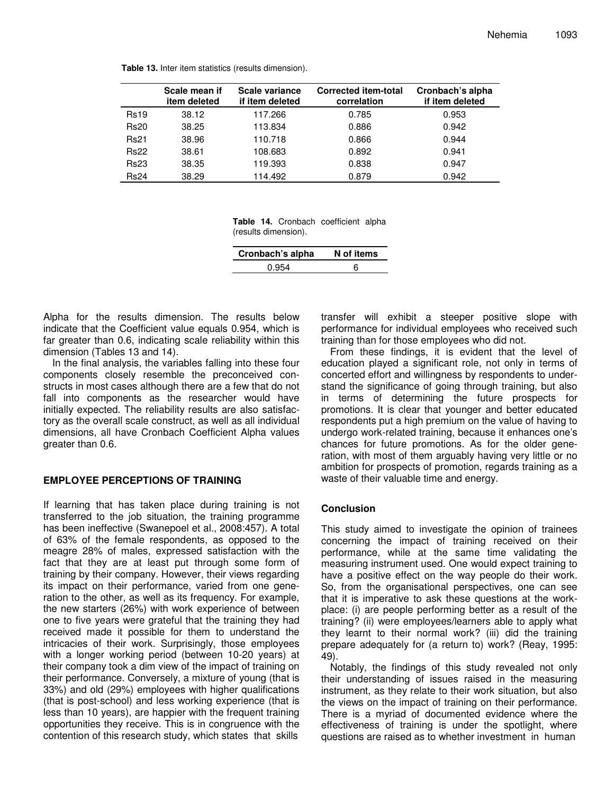|             | Scale mean if<br>item deleted | Scale variance<br>if item deleted | <b>Corrected item-total</b><br>correlation | Cronbach's alpha<br>if item deleted |
|-------------|-------------------------------|-----------------------------------|--------------------------------------------|-------------------------------------|
| <b>Rs19</b> | 38.12                         | 117.266                           | 0.785                                      | 0.953                               |
| <b>Rs20</b> | 38.25                         | 113.834                           | 0.886                                      | 0.942                               |
| <b>Rs21</b> | 38.96                         | 110.718                           | 0.866                                      | 0.944                               |
| <b>Rs22</b> | 38.61                         | 108.683                           | 0.892                                      | 0.941                               |
| <b>Rs23</b> | 38.35                         | 119.393                           | 0.838                                      | 0.947                               |
| <b>Rs24</b> | 38.29                         | 114.492                           | 0.879                                      | 0.942                               |

**Table 13.** Inter item statistics (results dimension).

**Table 14.** Cronbach coefficient alpha (results dimension).

| Cronbach's alpha | N of items |  |
|------------------|------------|--|
| <u>በ ዓ54</u>     |            |  |
|                  |            |  |

Alpha for the results dimension. The results below indicate that the Coefficient value equals 0.954, which is far greater than 0.6, indicating scale reliability within this dimension (Tables 13 and 14).

In the final analysis, the variables falling into these four components closely resemble the preconceived constructs in most cases although there are a few that do not fall into components as the researcher would have initially expected. The reliability results are also satisfactory as the overall scale construct, as well as all individual dimensions, all have Cronbach Coefficient Alpha values greater than 0.6.

# **EMPLOYEE PERCEPTIONS OF TRAINING**

If learning that has taken place during training is not transferred to the job situation, the training programme has been ineffective (Swanepoel et al., 2008:457). A total of 63% of the female respondents, as opposed to the meagre 28% of males, expressed satisfaction with the fact that they are at least put through some form of training by their company. However, their views regarding its impact on their performance, varied from one generation to the other, as well as its frequency. For example, the new starters (26%) with work experience of between one to five years were grateful that the training they had received made it possible for them to understand the intricacies of their work. Surprisingly, those employees with a longer working period (between 10-20 years) at their company took a dim view of the impact of training on their performance. Conversely, a mixture of young (that is 33%) and old (29%) employees with higher qualifications (that is post-school) and less working experience (that is less than 10 years), are happier with the frequent training opportunities they receive. This is in congruence with the contention of this research study, which states that skills

transfer will exhibit a steeper positive slope with performance for individual employees who received such training than for those employees who did not.

From these findings, it is evident that the level of education played a significant role, not only in terms of concerted effort and willingness by respondents to understand the significance of going through training, but also in terms of determining the future prospects for promotions. It is clear that younger and better educated respondents put a high premium on the value of having to undergo work-related training, because it enhances one's chances for future promotions. As for the older generation, with most of them arguably having very little or no ambition for prospects of promotion, regards training as a waste of their valuable time and energy.

# **Conclusion**

This study aimed to investigate the opinion of trainees concerning the impact of training received on their performance, while at the same time validating the measuring instrument used. One would expect training to have a positive effect on the way people do their work. So, from the organisational perspectives, one can see that it is imperative to ask these questions at the workplace: (i) are people performing better as a result of the training? (ii) were employees/learners able to apply what they learnt to their normal work? (iii) did the training prepare adequately for (a return to) work? (Reay, 1995: 49).

Notably, the findings of this study revealed not only their understanding of issues raised in the measuring instrument, as they relate to their work situation, but also the views on the impact of training on their performance. There is a myriad of documented evidence where the effectiveness of training is under the spotlight, where questions are raised as to whether investment in human